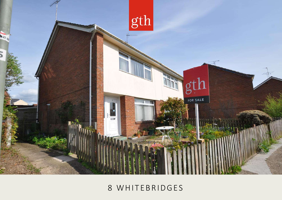

# 8 WHITEBRIDGES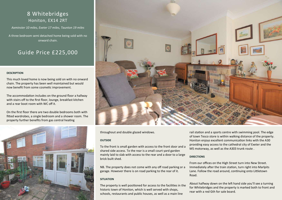### 8 Whitebridges Honiton, EX14 2RT

*Axminster 10 miles, Exeter 17 miles, Taunton 19 miles*

A three bedroom semi detached home being sold with no onward chain.

### Guide Price £225,000

#### **DESCRIPTION**

This much loved home is now being sold on with no onward chain. The property has been well maintained but would now benefit from some cosmetic improvement.

The accommodation includes on the ground floor a hallway with stairs off to the first floor, lounge, breakfast kitchen and a rear boot room with WC off it.

On the first floor there are two double bedrooms both with fitted wardrobes, a single bedroom and a shower room. The property further benefits from gas central heating





throughout and double glazed windows.

#### **OUTSIDE**

To the front is small garden with access to the front door and a shared side access. To the rear is a small court yard garden mainly laid to slab with access to the rear and a door to a large brick built shed.

NB. The property does not come with any off road parking or a garage. However there is on road parking to the rear of it.

#### **SITUATION**

The property is well positioned for access to the facilities in the historic town of Honiton, which is well served with shops, schools, restaurants and public houses, as well as a main line

rail station and a sports centre with swimming pool. The edge of town Tesco store is within walking distance of the property. Honiton enjoys excellent communication links with the A30 providing easy access to the cathedral city of Exeter and the M5 motorway, as well as the A303 trunk route .

#### **DIRECTIONS**

From our offices on the High Street turn into New Street. Immediately after the train station, turn right into Marlpits Lane. Follow the road around, continuing onto Littletown Road.

About halfway down on the left hand side you'll see a turning for Whitebridges and the property is marked both to front and rear with a red Gth for sale board.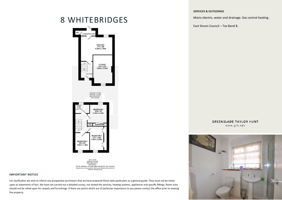#### **SERVICES & OUTGOINGS**

Mains electric, water and drainage. Gas central heating.

East Devon Council – Tax Band B.

## 8 WHITEBRIDGES



1ST FLOOR<br>APPROX, FLOOR<br>AREA 428 SQ.FT,  $(39.8 SQ.M.)$ TOTAL APPROX. FLOOR AREA 878 SQ.FT. (81.6 SQ.M.) are approximate. Not to scale. Illustrative perposes on<br>Made with Metropix ©2022

#### **IMPORTANT NOTICE**

For clarification we wish to inform any prospective purchasers that we have prepared these sales particulars as a general guide. They must not be relied upon as statements of fact. We have not carried out a detailed survey, nor tested the services, heating systems, appliances and specific fittings. Room sizes should not be relied upon for carpets and furnishings. If there are points which are of particular importance to you please contact the office prior to viewing the property.

**GREENSLADE TAYLOR HUNT** www.gth.net